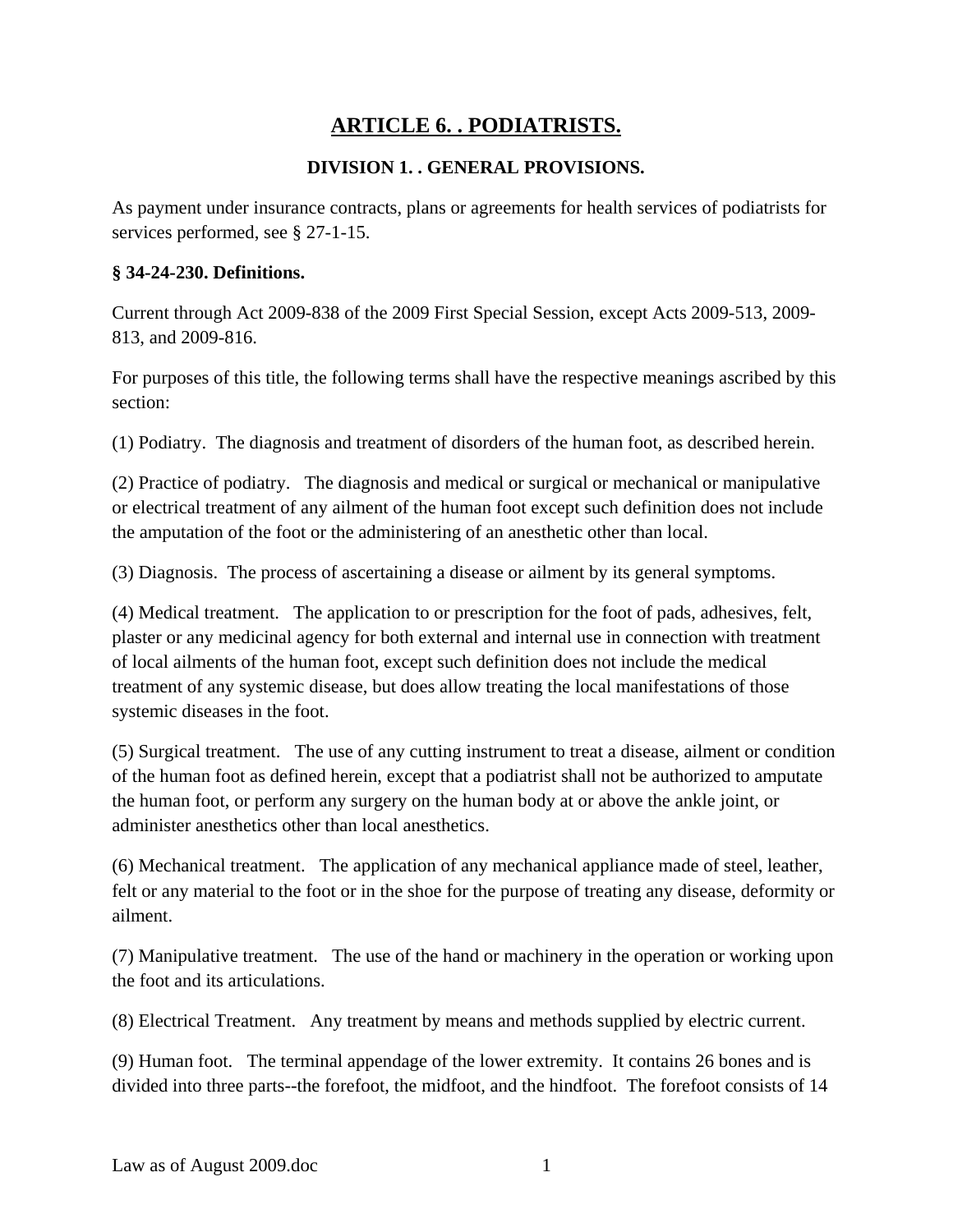# **ARTICLE 6. . PODIATRISTS.**

## **DIVISION 1. . GENERAL PROVISIONS.**

As payment under insurance contracts, plans or agreements for health services of podiatrists for services performed, see § 27-1-15.

#### **§ 34-24-230. Definitions.**

Current through Act 2009-838 of the 2009 First Special Session, except Acts 2009-513, 2009- 813, and 2009-816.

For purposes of this title, the following terms shall have the respective meanings ascribed by this section:

(1) Podiatry. The diagnosis and treatment of disorders of the human foot, as described herein.

(2) Practice of podiatry. The diagnosis and medical or surgical or mechanical or manipulative or electrical treatment of any ailment of the human foot except such definition does not include the amputation of the foot or the administering of an anesthetic other than local.

(3) Diagnosis. The process of ascertaining a disease or ailment by its general symptoms.

(4) Medical treatment. The application to or prescription for the foot of pads, adhesives, felt, plaster or any medicinal agency for both external and internal use in connection with treatment of local ailments of the human foot, except such definition does not include the medical treatment of any systemic disease, but does allow treating the local manifestations of those systemic diseases in the foot.

(5) Surgical treatment. The use of any cutting instrument to treat a disease, ailment or condition of the human foot as defined herein, except that a podiatrist shall not be authorized to amputate the human foot, or perform any surgery on the human body at or above the ankle joint, or administer anesthetics other than local anesthetics.

(6) Mechanical treatment. The application of any mechanical appliance made of steel, leather, felt or any material to the foot or in the shoe for the purpose of treating any disease, deformity or ailment.

(7) Manipulative treatment. The use of the hand or machinery in the operation or working upon the foot and its articulations.

(8) Electrical Treatment. Any treatment by means and methods supplied by electric current.

(9) Human foot. The terminal appendage of the lower extremity. It contains 26 bones and is divided into three parts--the forefoot, the midfoot, and the hindfoot. The forefoot consists of 14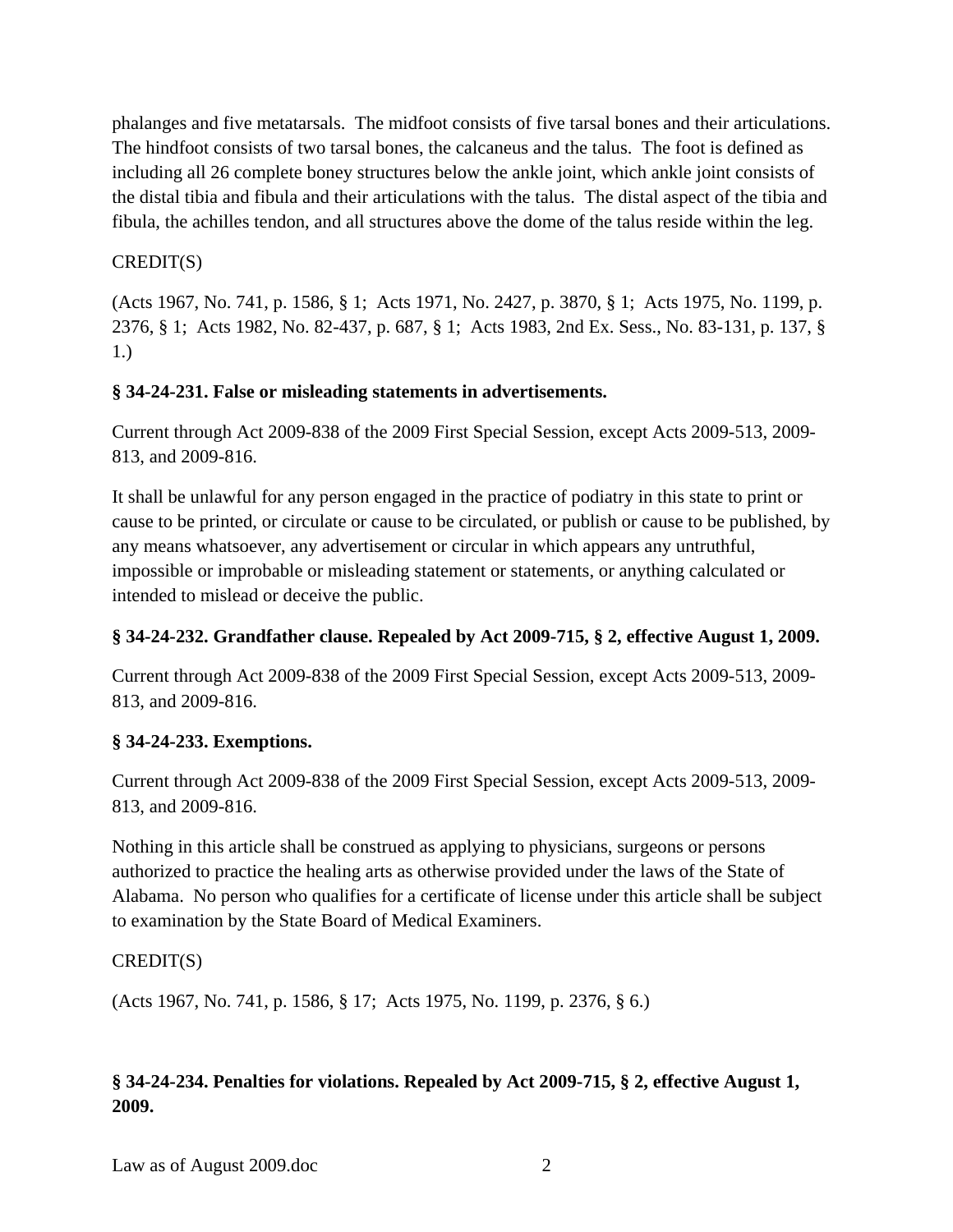phalanges and five metatarsals. The midfoot consists of five tarsal bones and their articulations. The hindfoot consists of two tarsal bones, the calcaneus and the talus. The foot is defined as including all 26 complete boney structures below the ankle joint, which ankle joint consists of the distal tibia and fibula and their articulations with the talus. The distal aspect of the tibia and fibula, the achilles tendon, and all structures above the dome of the talus reside within the leg.

#### CREDIT(S)

(Acts 1967, No. 741, p. 1586, § 1; Acts 1971, No. 2427, p. 3870, § 1; Acts 1975, No. 1199, p. 2376, § 1; Acts 1982, No. 82-437, p. 687, § 1; Acts 1983, 2nd Ex. Sess., No. 83-131, p. 137, § 1.)

#### **§ 34-24-231. False or misleading statements in advertisements.**

Current through Act 2009-838 of the 2009 First Special Session, except Acts 2009-513, 2009- 813, and 2009-816.

It shall be unlawful for any person engaged in the practice of podiatry in this state to print or cause to be printed, or circulate or cause to be circulated, or publish or cause to be published, by any means whatsoever, any advertisement or circular in which appears any untruthful, impossible or improbable or misleading statement or statements, or anything calculated or intended to mislead or deceive the public.

## **§ 34-24-232. Grandfather clause. Repealed by Act 2009-715, § 2, effective August 1, 2009.**

Current through Act 2009-838 of the 2009 First Special Session, except Acts 2009-513, 2009- 813, and 2009-816.

#### **§ 34-24-233. Exemptions.**

Current through Act 2009-838 of the 2009 First Special Session, except Acts 2009-513, 2009- 813, and 2009-816.

Nothing in this article shall be construed as applying to physicians, surgeons or persons authorized to practice the healing arts as otherwise provided under the laws of the State of Alabama. No person who qualifies for a certificate of license under this article shall be subject to examination by the State Board of Medical Examiners.

#### CREDIT(S)

(Acts 1967, No. 741, p. 1586, § 17; Acts 1975, No. 1199, p. 2376, § 6.)

# **§ 34-24-234. Penalties for violations. Repealed by Act 2009-715, § 2, effective August 1, 2009.**

Law as of August 2009.doc 2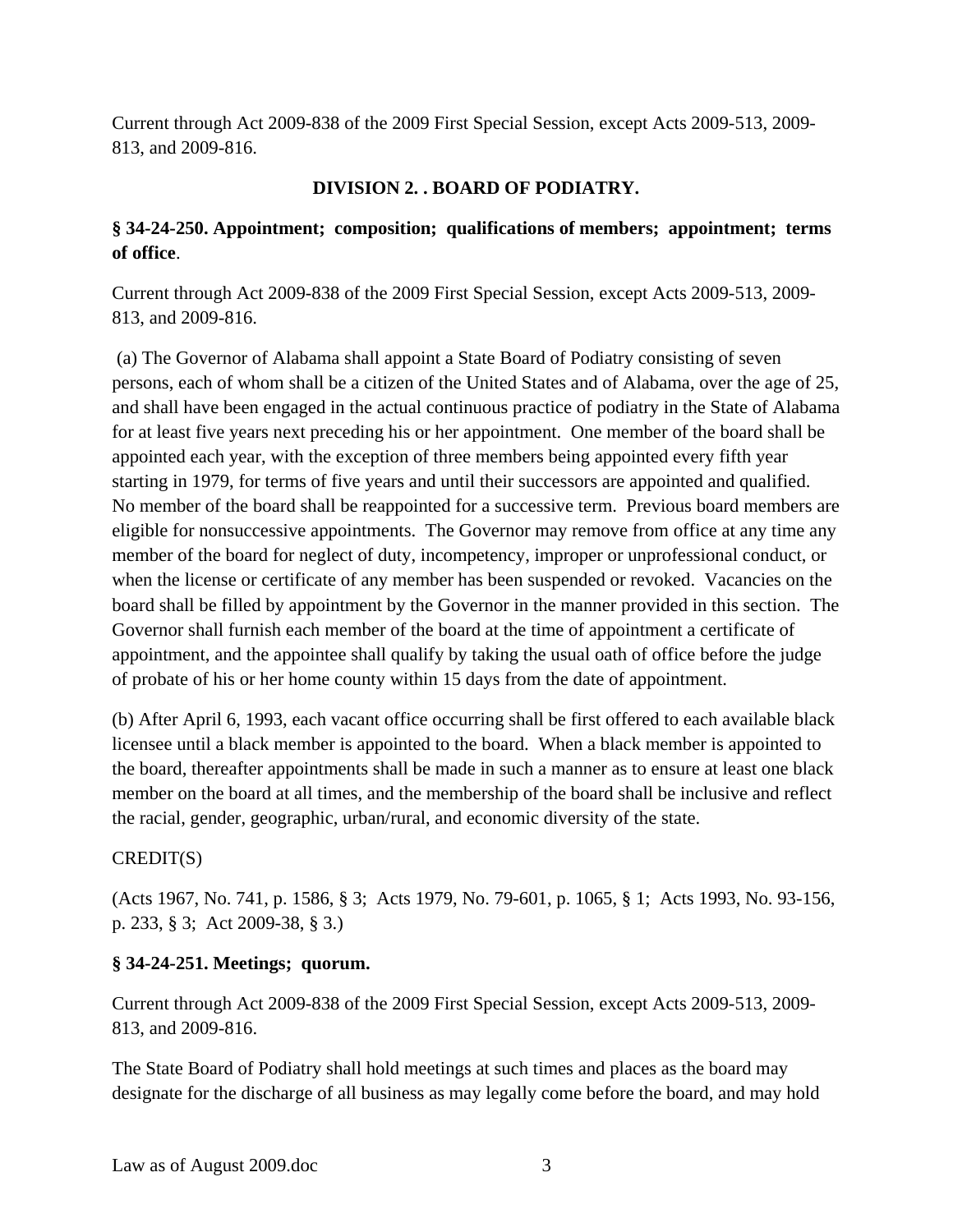Current through Act 2009-838 of the 2009 First Special Session, except Acts 2009-513, 2009- 813, and 2009-816.

### **DIVISION 2. . BOARD OF PODIATRY.**

## **§ 34-24-250. Appointment; composition; qualifications of members; appointment; terms of office**.

Current through Act 2009-838 of the 2009 First Special Session, except Acts 2009-513, 2009- 813, and 2009-816.

 (a) The Governor of Alabama shall appoint a State Board of Podiatry consisting of seven persons, each of whom shall be a citizen of the United States and of Alabama, over the age of 25, and shall have been engaged in the actual continuous practice of podiatry in the State of Alabama for at least five years next preceding his or her appointment. One member of the board shall be appointed each year, with the exception of three members being appointed every fifth year starting in 1979, for terms of five years and until their successors are appointed and qualified. No member of the board shall be reappointed for a successive term. Previous board members are eligible for nonsuccessive appointments. The Governor may remove from office at any time any member of the board for neglect of duty, incompetency, improper or unprofessional conduct, or when the license or certificate of any member has been suspended or revoked. Vacancies on the board shall be filled by appointment by the Governor in the manner provided in this section. The Governor shall furnish each member of the board at the time of appointment a certificate of appointment, and the appointee shall qualify by taking the usual oath of office before the judge of probate of his or her home county within 15 days from the date of appointment.

(b) After April 6, 1993, each vacant office occurring shall be first offered to each available black licensee until a black member is appointed to the board. When a black member is appointed to the board, thereafter appointments shall be made in such a manner as to ensure at least one black member on the board at all times, and the membership of the board shall be inclusive and reflect the racial, gender, geographic, urban/rural, and economic diversity of the state.

#### CREDIT(S)

(Acts 1967, No. 741, p. 1586, § 3; Acts 1979, No. 79-601, p. 1065, § 1; Acts 1993, No. 93-156, p. 233, § 3; Act 2009-38, § 3.)

#### **§ 34-24-251. Meetings; quorum.**

Current through Act 2009-838 of the 2009 First Special Session, except Acts 2009-513, 2009- 813, and 2009-816.

The State Board of Podiatry shall hold meetings at such times and places as the board may designate for the discharge of all business as may legally come before the board, and may hold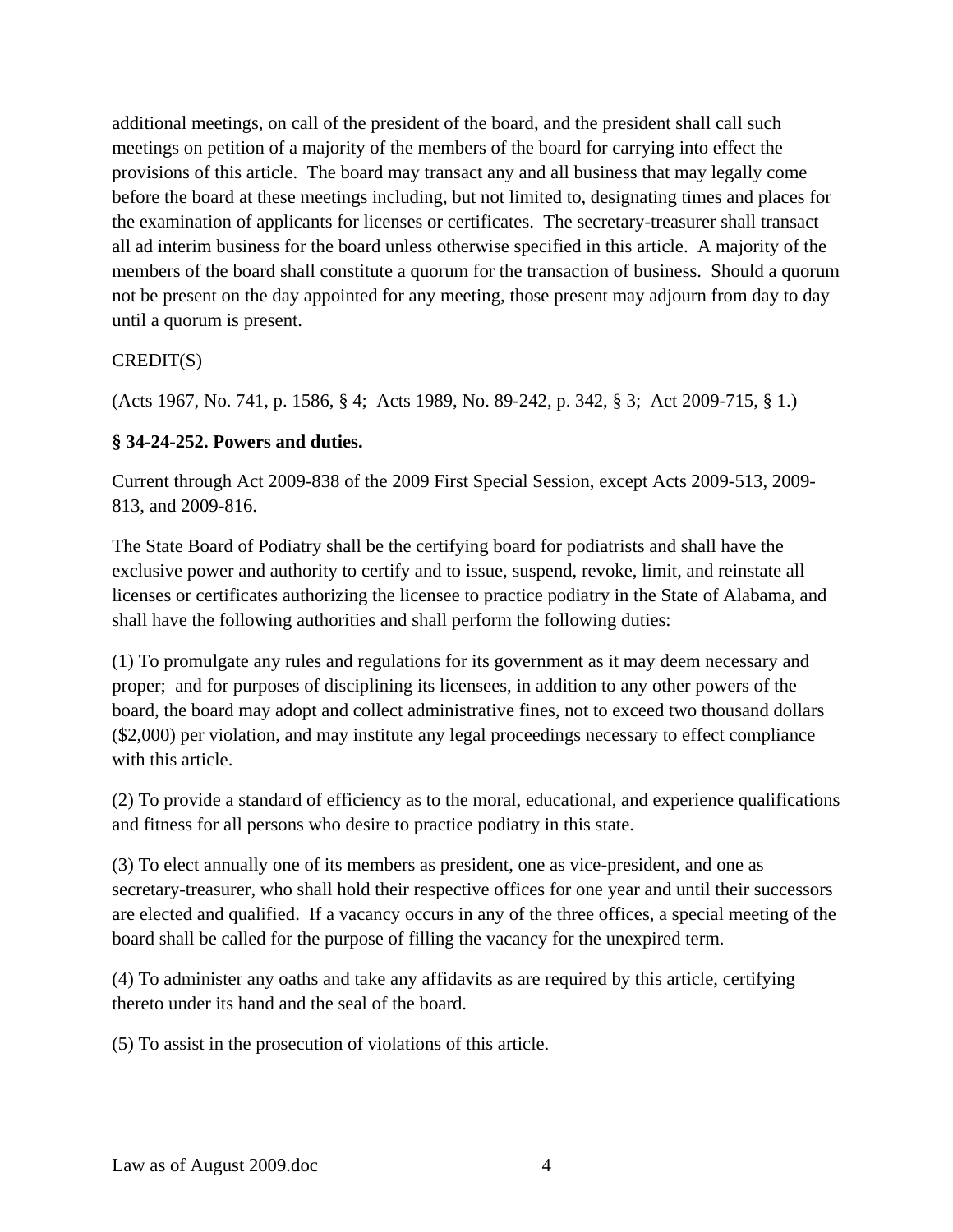additional meetings, on call of the president of the board, and the president shall call such meetings on petition of a majority of the members of the board for carrying into effect the provisions of this article. The board may transact any and all business that may legally come before the board at these meetings including, but not limited to, designating times and places for the examination of applicants for licenses or certificates. The secretary-treasurer shall transact all ad interim business for the board unless otherwise specified in this article. A majority of the members of the board shall constitute a quorum for the transaction of business. Should a quorum not be present on the day appointed for any meeting, those present may adjourn from day to day until a quorum is present.

### CREDIT(S)

(Acts 1967, No. 741, p. 1586, § 4; Acts 1989, No. 89-242, p. 342, § 3; Act 2009-715, § 1.)

## **§ 34-24-252. Powers and duties.**

Current through Act 2009-838 of the 2009 First Special Session, except Acts 2009-513, 2009- 813, and 2009-816.

The State Board of Podiatry shall be the certifying board for podiatrists and shall have the exclusive power and authority to certify and to issue, suspend, revoke, limit, and reinstate all licenses or certificates authorizing the licensee to practice podiatry in the State of Alabama, and shall have the following authorities and shall perform the following duties:

(1) To promulgate any rules and regulations for its government as it may deem necessary and proper; and for purposes of disciplining its licensees, in addition to any other powers of the board, the board may adopt and collect administrative fines, not to exceed two thousand dollars (\$2,000) per violation, and may institute any legal proceedings necessary to effect compliance with this article.

(2) To provide a standard of efficiency as to the moral, educational, and experience qualifications and fitness for all persons who desire to practice podiatry in this state.

(3) To elect annually one of its members as president, one as vice-president, and one as secretary-treasurer, who shall hold their respective offices for one year and until their successors are elected and qualified. If a vacancy occurs in any of the three offices, a special meeting of the board shall be called for the purpose of filling the vacancy for the unexpired term.

(4) To administer any oaths and take any affidavits as are required by this article, certifying thereto under its hand and the seal of the board.

(5) To assist in the prosecution of violations of this article.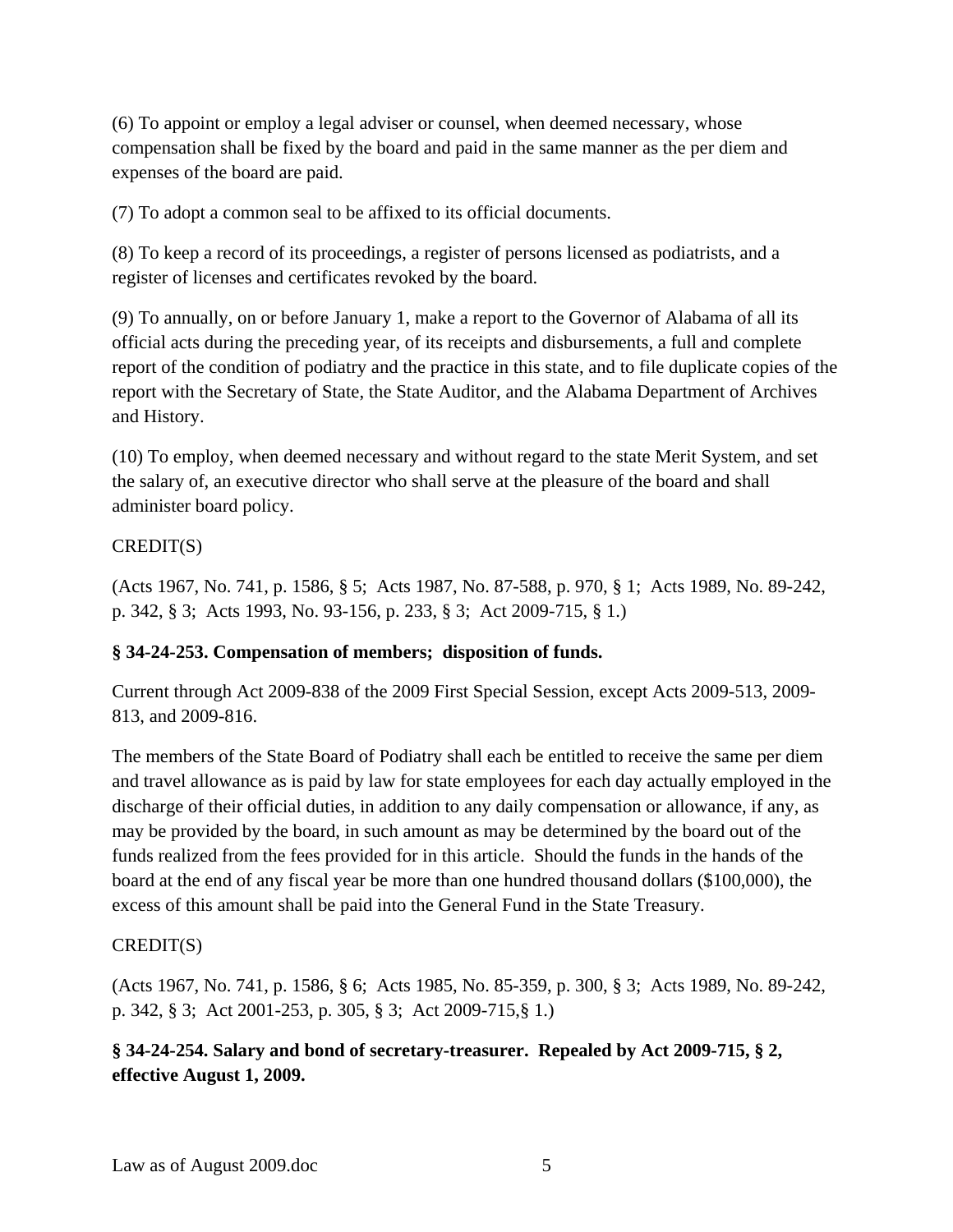(6) To appoint or employ a legal adviser or counsel, when deemed necessary, whose compensation shall be fixed by the board and paid in the same manner as the per diem and expenses of the board are paid.

(7) To adopt a common seal to be affixed to its official documents.

(8) To keep a record of its proceedings, a register of persons licensed as podiatrists, and a register of licenses and certificates revoked by the board.

(9) To annually, on or before January 1, make a report to the Governor of Alabama of all its official acts during the preceding year, of its receipts and disbursements, a full and complete report of the condition of podiatry and the practice in this state, and to file duplicate copies of the report with the Secretary of State, the State Auditor, and the Alabama Department of Archives and History.

(10) To employ, when deemed necessary and without regard to the state Merit System, and set the salary of, an executive director who shall serve at the pleasure of the board and shall administer board policy.

### CREDIT(S)

(Acts 1967, No. 741, p. 1586, § 5; Acts 1987, No. 87-588, p. 970, § 1; Acts 1989, No. 89-242, p. 342, § 3; Acts 1993, No. 93-156, p. 233, § 3; Act 2009-715, § 1.)

## **§ 34-24-253. Compensation of members; disposition of funds.**

Current through Act 2009-838 of the 2009 First Special Session, except Acts 2009-513, 2009- 813, and 2009-816.

The members of the State Board of Podiatry shall each be entitled to receive the same per diem and travel allowance as is paid by law for state employees for each day actually employed in the discharge of their official duties, in addition to any daily compensation or allowance, if any, as may be provided by the board, in such amount as may be determined by the board out of the funds realized from the fees provided for in this article. Should the funds in the hands of the board at the end of any fiscal year be more than one hundred thousand dollars (\$100,000), the excess of this amount shall be paid into the General Fund in the State Treasury.

#### CREDIT(S)

(Acts 1967, No. 741, p. 1586, § 6; Acts 1985, No. 85-359, p. 300, § 3; Acts 1989, No. 89-242, p. 342, § 3; Act 2001-253, p. 305, § 3; Act 2009-715,§ 1.)

## **§ 34-24-254. Salary and bond of secretary-treasurer. Repealed by Act 2009-715, § 2, effective August 1, 2009.**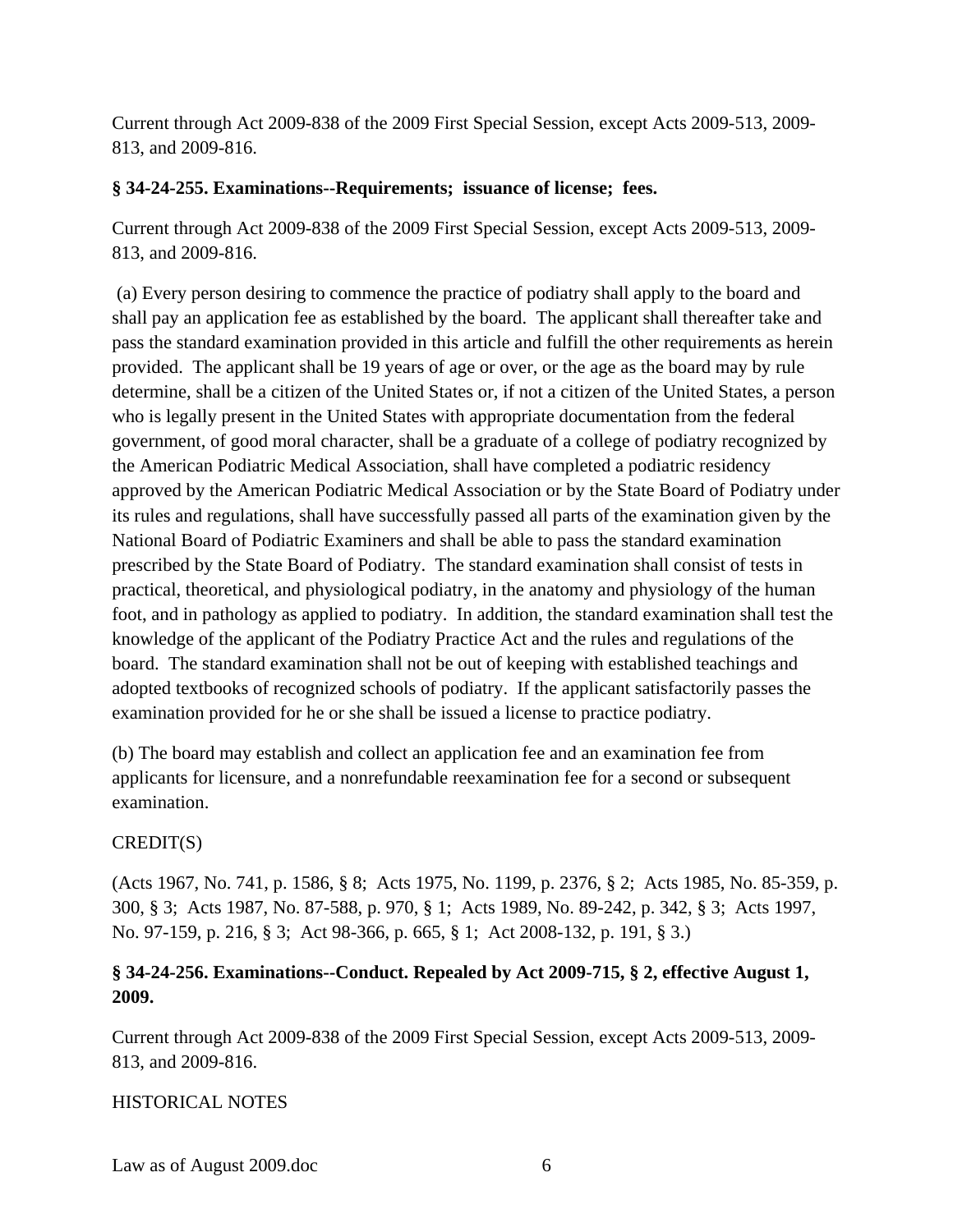Current through Act 2009-838 of the 2009 First Special Session, except Acts 2009-513, 2009- 813, and 2009-816.

#### **§ 34-24-255. Examinations--Requirements; issuance of license; fees.**

Current through Act 2009-838 of the 2009 First Special Session, except Acts 2009-513, 2009- 813, and 2009-816.

 (a) Every person desiring to commence the practice of podiatry shall apply to the board and shall pay an application fee as established by the board. The applicant shall thereafter take and pass the standard examination provided in this article and fulfill the other requirements as herein provided. The applicant shall be 19 years of age or over, or the age as the board may by rule determine, shall be a citizen of the United States or, if not a citizen of the United States, a person who is legally present in the United States with appropriate documentation from the federal government, of good moral character, shall be a graduate of a college of podiatry recognized by the American Podiatric Medical Association, shall have completed a podiatric residency approved by the American Podiatric Medical Association or by the State Board of Podiatry under its rules and regulations, shall have successfully passed all parts of the examination given by the National Board of Podiatric Examiners and shall be able to pass the standard examination prescribed by the State Board of Podiatry. The standard examination shall consist of tests in practical, theoretical, and physiological podiatry, in the anatomy and physiology of the human foot, and in pathology as applied to podiatry. In addition, the standard examination shall test the knowledge of the applicant of the Podiatry Practice Act and the rules and regulations of the board. The standard examination shall not be out of keeping with established teachings and adopted textbooks of recognized schools of podiatry. If the applicant satisfactorily passes the examination provided for he or she shall be issued a license to practice podiatry.

(b) The board may establish and collect an application fee and an examination fee from applicants for licensure, and a nonrefundable reexamination fee for a second or subsequent examination.

#### CREDIT(S)

(Acts 1967, No. 741, p. 1586, § 8; Acts 1975, No. 1199, p. 2376, § 2; Acts 1985, No. 85-359, p. 300, § 3; Acts 1987, No. 87-588, p. 970, § 1; Acts 1989, No. 89-242, p. 342, § 3; Acts 1997, No. 97-159, p. 216, § 3; Act 98-366, p. 665, § 1; Act 2008-132, p. 191, § 3.)

## **§ 34-24-256. Examinations--Conduct. Repealed by Act 2009-715, § 2, effective August 1, 2009.**

Current through Act 2009-838 of the 2009 First Special Session, except Acts 2009-513, 2009- 813, and 2009-816.

#### HISTORICAL NOTES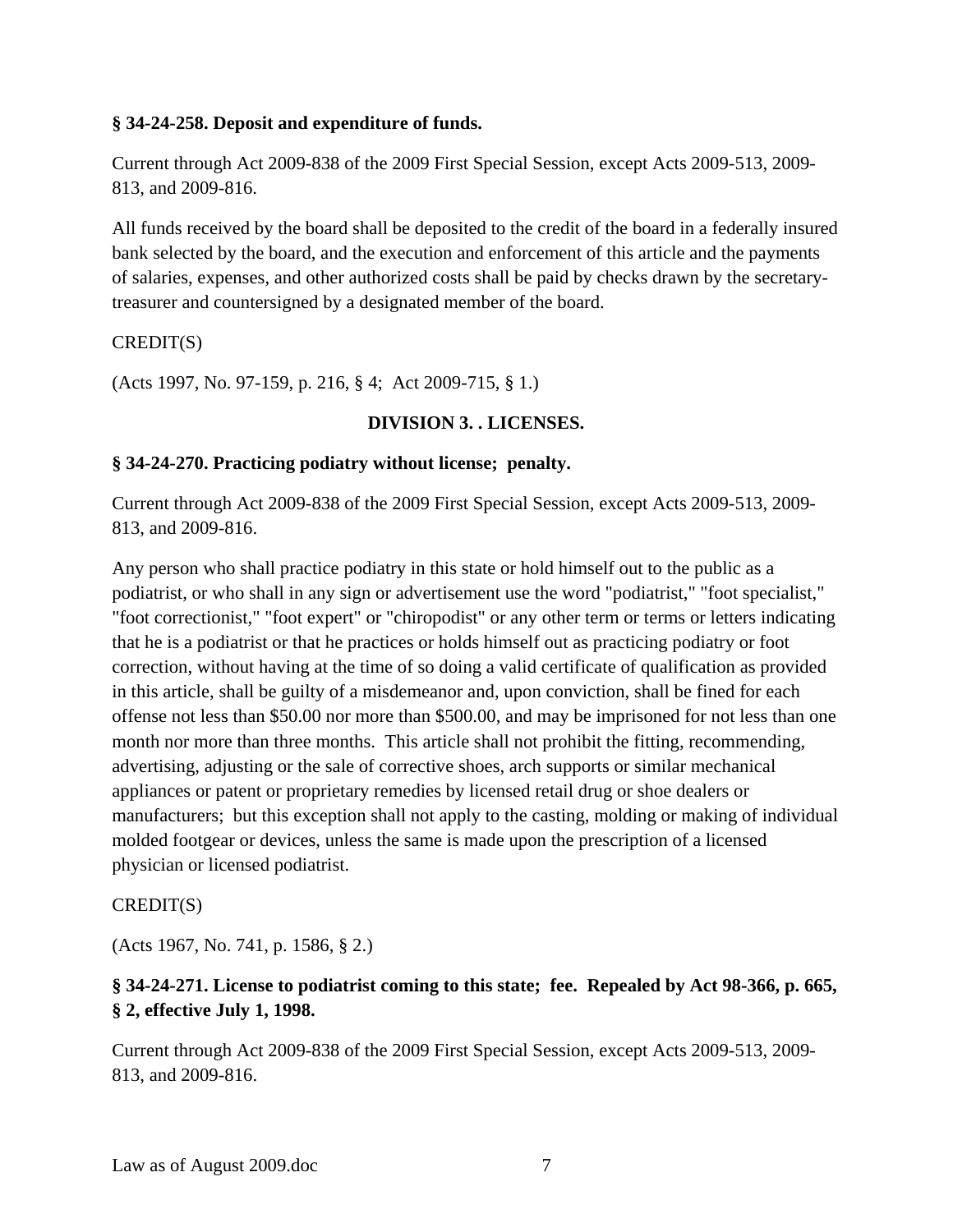#### **§ 34-24-258. Deposit and expenditure of funds.**

Current through Act 2009-838 of the 2009 First Special Session, except Acts 2009-513, 2009- 813, and 2009-816.

All funds received by the board shall be deposited to the credit of the board in a federally insured bank selected by the board, and the execution and enforcement of this article and the payments of salaries, expenses, and other authorized costs shall be paid by checks drawn by the secretarytreasurer and countersigned by a designated member of the board.

#### CREDIT(S)

(Acts 1997, No. 97-159, p. 216, § 4; Act 2009-715, § 1.)

#### **DIVISION 3. . LICENSES.**

#### **§ 34-24-270. Practicing podiatry without license; penalty.**

Current through Act 2009-838 of the 2009 First Special Session, except Acts 2009-513, 2009- 813, and 2009-816.

Any person who shall practice podiatry in this state or hold himself out to the public as a podiatrist, or who shall in any sign or advertisement use the word "podiatrist," "foot specialist," "foot correctionist," "foot expert" or "chiropodist" or any other term or terms or letters indicating that he is a podiatrist or that he practices or holds himself out as practicing podiatry or foot correction, without having at the time of so doing a valid certificate of qualification as provided in this article, shall be guilty of a misdemeanor and, upon conviction, shall be fined for each offense not less than \$50.00 nor more than \$500.00, and may be imprisoned for not less than one month nor more than three months. This article shall not prohibit the fitting, recommending, advertising, adjusting or the sale of corrective shoes, arch supports or similar mechanical appliances or patent or proprietary remedies by licensed retail drug or shoe dealers or manufacturers; but this exception shall not apply to the casting, molding or making of individual molded footgear or devices, unless the same is made upon the prescription of a licensed physician or licensed podiatrist.

#### CREDIT(S)

(Acts 1967, No. 741, p. 1586, § 2.)

## **§ 34-24-271. License to podiatrist coming to this state; fee. Repealed by Act 98-366, p. 665, § 2, effective July 1, 1998.**

Current through Act 2009-838 of the 2009 First Special Session, except Acts 2009-513, 2009- 813, and 2009-816.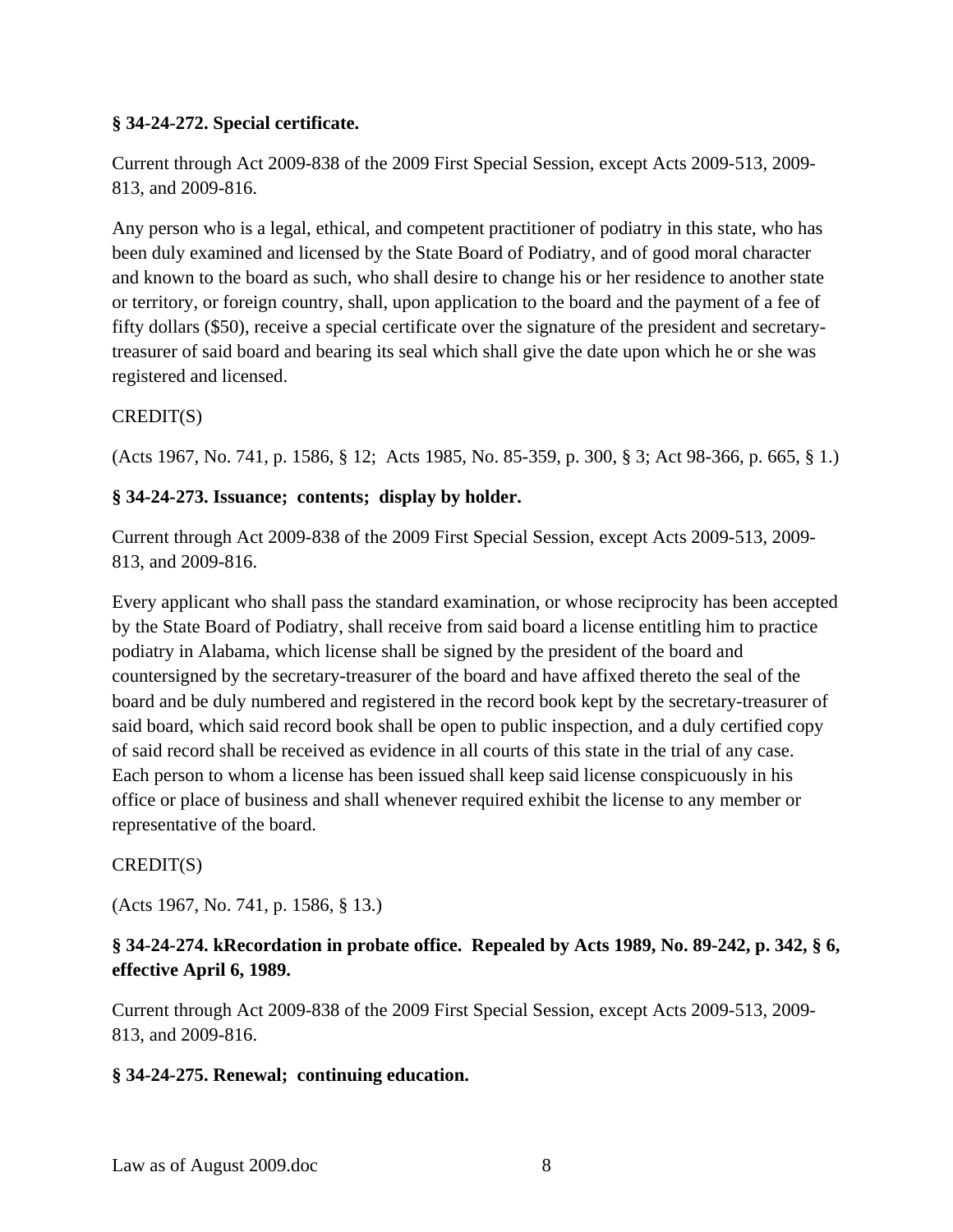#### **§ 34-24-272. Special certificate.**

Current through Act 2009-838 of the 2009 First Special Session, except Acts 2009-513, 2009- 813, and 2009-816.

Any person who is a legal, ethical, and competent practitioner of podiatry in this state, who has been duly examined and licensed by the State Board of Podiatry, and of good moral character and known to the board as such, who shall desire to change his or her residence to another state or territory, or foreign country, shall, upon application to the board and the payment of a fee of fifty dollars (\$50), receive a special certificate over the signature of the president and secretarytreasurer of said board and bearing its seal which shall give the date upon which he or she was registered and licensed.

## CREDIT(S)

(Acts 1967, No. 741, p. 1586, § 12; Acts 1985, No. 85-359, p. 300, § 3; Act 98-366, p. 665, § 1.)

## **§ 34-24-273. Issuance; contents; display by holder.**

Current through Act 2009-838 of the 2009 First Special Session, except Acts 2009-513, 2009- 813, and 2009-816.

Every applicant who shall pass the standard examination, or whose reciprocity has been accepted by the State Board of Podiatry, shall receive from said board a license entitling him to practice podiatry in Alabama, which license shall be signed by the president of the board and countersigned by the secretary-treasurer of the board and have affixed thereto the seal of the board and be duly numbered and registered in the record book kept by the secretary-treasurer of said board, which said record book shall be open to public inspection, and a duly certified copy of said record shall be received as evidence in all courts of this state in the trial of any case. Each person to whom a license has been issued shall keep said license conspicuously in his office or place of business and shall whenever required exhibit the license to any member or representative of the board.

## CREDIT(S)

(Acts 1967, No. 741, p. 1586, § 13.)

## **§ 34-24-274. kRecordation in probate office. Repealed by Acts 1989, No. 89-242, p. 342, § 6, effective April 6, 1989.**

Current through Act 2009-838 of the 2009 First Special Session, except Acts 2009-513, 2009- 813, and 2009-816.

## **§ 34-24-275. Renewal; continuing education.**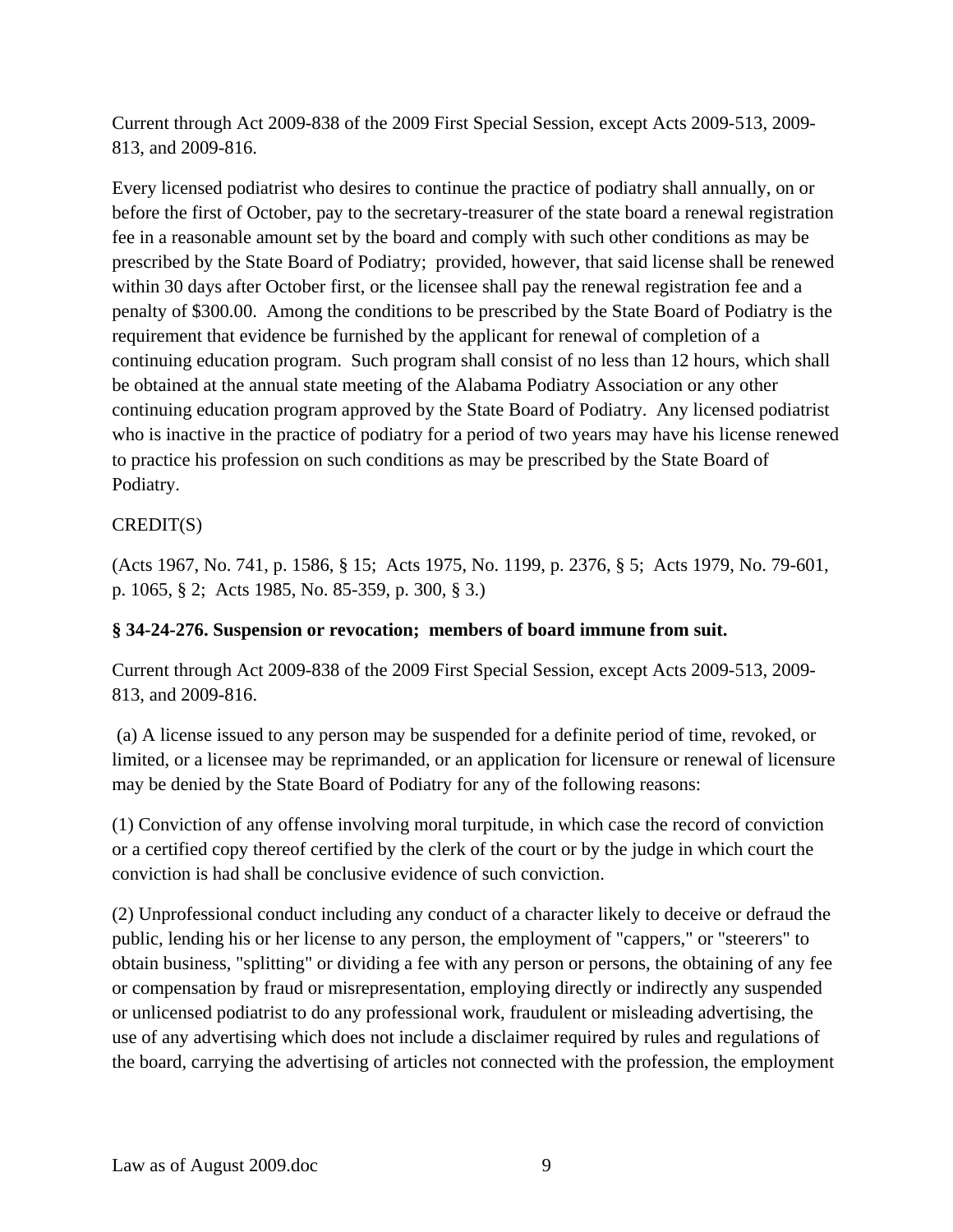Current through Act 2009-838 of the 2009 First Special Session, except Acts 2009-513, 2009- 813, and 2009-816.

Every licensed podiatrist who desires to continue the practice of podiatry shall annually, on or before the first of October, pay to the secretary-treasurer of the state board a renewal registration fee in a reasonable amount set by the board and comply with such other conditions as may be prescribed by the State Board of Podiatry; provided, however, that said license shall be renewed within 30 days after October first, or the licensee shall pay the renewal registration fee and a penalty of \$300.00. Among the conditions to be prescribed by the State Board of Podiatry is the requirement that evidence be furnished by the applicant for renewal of completion of a continuing education program. Such program shall consist of no less than 12 hours, which shall be obtained at the annual state meeting of the Alabama Podiatry Association or any other continuing education program approved by the State Board of Podiatry. Any licensed podiatrist who is inactive in the practice of podiatry for a period of two years may have his license renewed to practice his profession on such conditions as may be prescribed by the State Board of Podiatry.

## CREDIT(S)

(Acts 1967, No. 741, p. 1586, § 15; Acts 1975, No. 1199, p. 2376, § 5; Acts 1979, No. 79-601, p. 1065, § 2; Acts 1985, No. 85-359, p. 300, § 3.)

#### **§ 34-24-276. Suspension or revocation; members of board immune from suit.**

Current through Act 2009-838 of the 2009 First Special Session, except Acts 2009-513, 2009- 813, and 2009-816.

 (a) A license issued to any person may be suspended for a definite period of time, revoked, or limited, or a licensee may be reprimanded, or an application for licensure or renewal of licensure may be denied by the State Board of Podiatry for any of the following reasons:

(1) Conviction of any offense involving moral turpitude, in which case the record of conviction or a certified copy thereof certified by the clerk of the court or by the judge in which court the conviction is had shall be conclusive evidence of such conviction.

(2) Unprofessional conduct including any conduct of a character likely to deceive or defraud the public, lending his or her license to any person, the employment of "cappers," or "steerers" to obtain business, "splitting" or dividing a fee with any person or persons, the obtaining of any fee or compensation by fraud or misrepresentation, employing directly or indirectly any suspended or unlicensed podiatrist to do any professional work, fraudulent or misleading advertising, the use of any advertising which does not include a disclaimer required by rules and regulations of the board, carrying the advertising of articles not connected with the profession, the employment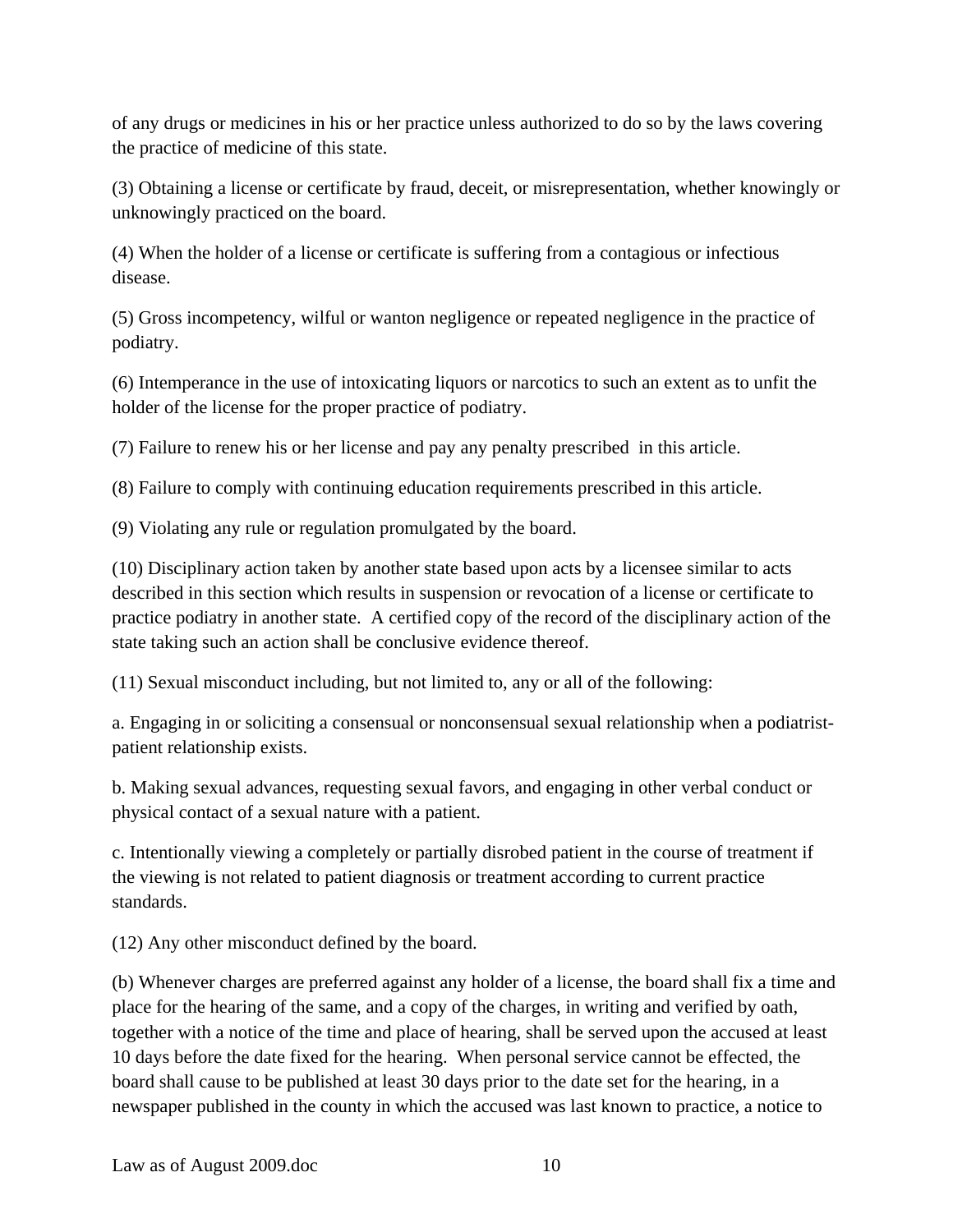of any drugs or medicines in his or her practice unless authorized to do so by the laws covering the practice of medicine of this state.

(3) Obtaining a license or certificate by fraud, deceit, or misrepresentation, whether knowingly or unknowingly practiced on the board.

(4) When the holder of a license or certificate is suffering from a contagious or infectious disease.

(5) Gross incompetency, wilful or wanton negligence or repeated negligence in the practice of podiatry.

(6) Intemperance in the use of intoxicating liquors or narcotics to such an extent as to unfit the holder of the license for the proper practice of podiatry.

(7) Failure to renew his or her license and pay any penalty prescribed in this article.

(8) Failure to comply with continuing education requirements prescribed in this article.

(9) Violating any rule or regulation promulgated by the board.

(10) Disciplinary action taken by another state based upon acts by a licensee similar to acts described in this section which results in suspension or revocation of a license or certificate to practice podiatry in another state. A certified copy of the record of the disciplinary action of the state taking such an action shall be conclusive evidence thereof.

(11) Sexual misconduct including, but not limited to, any or all of the following:

a. Engaging in or soliciting a consensual or nonconsensual sexual relationship when a podiatristpatient relationship exists.

b. Making sexual advances, requesting sexual favors, and engaging in other verbal conduct or physical contact of a sexual nature with a patient.

c. Intentionally viewing a completely or partially disrobed patient in the course of treatment if the viewing is not related to patient diagnosis or treatment according to current practice standards.

(12) Any other misconduct defined by the board.

(b) Whenever charges are preferred against any holder of a license, the board shall fix a time and place for the hearing of the same, and a copy of the charges, in writing and verified by oath, together with a notice of the time and place of hearing, shall be served upon the accused at least 10 days before the date fixed for the hearing. When personal service cannot be effected, the board shall cause to be published at least 30 days prior to the date set for the hearing, in a newspaper published in the county in which the accused was last known to practice, a notice to